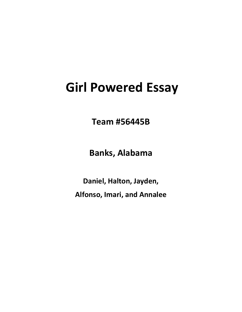## **Girl Powered Essay**

**Team #56445B**

**Banks, Alabama**

**Daniel, Halton, Jayden, Alfonso, Imari, and Annalee**